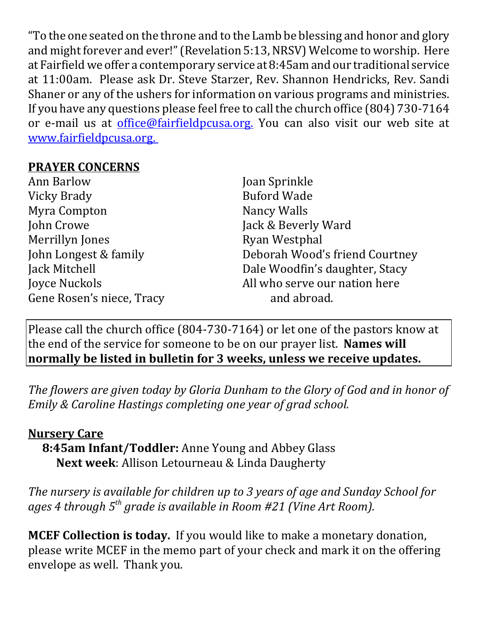"To the one seated on the throne and to the Lamb be blessing and honor and glory and might forever and ever!" (Revelation 5:13, NRSV) Welcome to worship. Here at Fairfield we offer a contemporary service at 8:45am and our traditional service at 11:00am. Please ask Dr. Steve Starzer, Rev. Shannon Hendricks, Rev. Sandi Shaner or any of the ushers for information on various programs and ministries. If you have any questions please feel free to call the church office (804) 730-7164 or e-mail us at *office@fairfieldpcusa.org*. You can also visit our web site at www.fairfieldpcusa.org.

## **PRAYER CONCERNS**

| <b>Ann Barlow</b>         | Joan Sprinkle                  |  |
|---------------------------|--------------------------------|--|
| Vicky Brady               | <b>Buford Wade</b>             |  |
| Myra Compton              | Nancy Walls                    |  |
| John Crowe                | Jack & Beverly Ward            |  |
| Merrillyn Jones           | Ryan Westphal                  |  |
| John Longest & family     | Deborah Wood's friend Courtney |  |
| Jack Mitchell             | Dale Woodfin's daughter, Stacy |  |
| Joyce Nuckols             | All who serve our nation here  |  |
| Gene Rosen's niece, Tracy | and abroad.                    |  |

Please call the church office (804-730-7164) or let one of the pastors know at the end of the service for someone to be on our prayer list. **Names will normally be listed in bulletin for 3 weeks, unless we receive updates.**

*The flowers are given today by Gloria Dunham to the Glory of God and in honor of Emily & Caroline Hastings completing one year of grad school.*

## **Nursery Care**

**8:45am Infant/Toddler:** Anne Young and Abbey Glass **Next week**: Allison Letourneau & Linda Daugherty

*The nursery is available for children up to 3 years of age and Sunday School for ages 4 through 5th grade is available in Room #21 (Vine Art Room).*

**MCEF Collection is today.** If you would like to make a monetary donation, please write MCEF in the memo part of your check and mark it on the offering envelope as well. Thank you.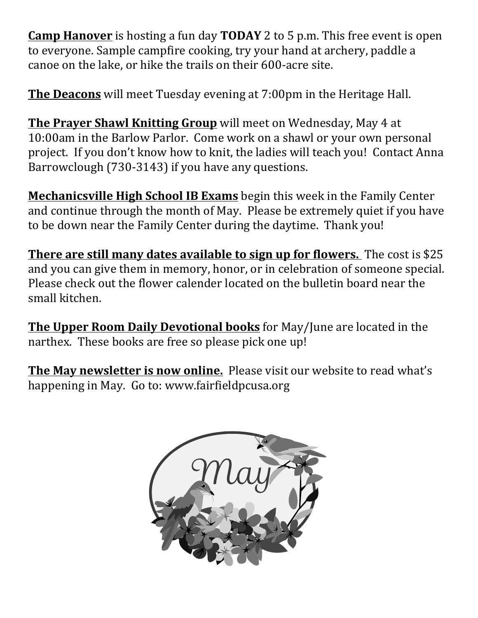**Camp Hanover** is hosting a fun day **TODAY** 2 to 5 p.m. This free event is open to everyone. Sample campfire cooking, try your hand at archery, paddle a canoe on the lake, or hike the trails on their 600-acre site.

**The Deacons** will meet Tuesday evening at 7:00pm in the Heritage Hall.

**The Prayer Shawl Knitting Group** will meet on Wednesday, May 4 at 10:00am in the Barlow Parlor. Come work on a shawl or your own personal project. If you don't know how to knit, the ladies will teach you! Contact Anna Barrowclough (730-3143) if you have any questions.

**Mechanicsville High School IB Exams** begin this week in the Family Center and continue through the month of May. Please be extremely quiet if you have to be down near the Family Center during the daytime. Thank you!

**There are still many dates available to sign up for flowers.** The cost is \$25 and you can give them in memory, honor, or in celebration of someone special. Please check out the flower calender located on the bulletin board near the small kitchen.

**The Upper Room Daily Devotional books** for May/June are located in the narthex. These books are free so please pick one up!

**The May newsletter is now online.** Please visit our website to read what's happening in May. Go to: www.fairfieldpcusa.org